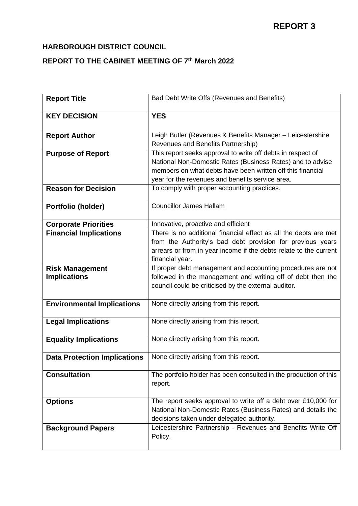# **HARBOROUGH DISTRICT COUNCIL**

## **REPORT TO THE CABINET MEETING OF 7 th March 2022**

| <b>Report Title</b>                           | Bad Debt Write Offs (Revenues and Benefits)                                                                                                                                                                                                 |
|-----------------------------------------------|---------------------------------------------------------------------------------------------------------------------------------------------------------------------------------------------------------------------------------------------|
| <b>KEY DECISION</b>                           | <b>YES</b>                                                                                                                                                                                                                                  |
| <b>Report Author</b>                          | Leigh Butler (Revenues & Benefits Manager - Leicestershire<br>Revenues and Benefits Partnership)                                                                                                                                            |
| <b>Purpose of Report</b>                      | This report seeks approval to write off debts in respect of<br>National Non-Domestic Rates (Business Rates) and to advise<br>members on what debts have been written off this financial<br>year for the revenues and benefits service area. |
| <b>Reason for Decision</b>                    | To comply with proper accounting practices.                                                                                                                                                                                                 |
| Portfolio (holder)                            | <b>Councillor James Hallam</b>                                                                                                                                                                                                              |
| <b>Corporate Priorities</b>                   | Innovative, proactive and efficient                                                                                                                                                                                                         |
| <b>Financial Implications</b>                 | There is no additional financial effect as all the debts are met<br>from the Authority's bad debt provision for previous years<br>arrears or from in year income if the debts relate to the current<br>financial year.                      |
| <b>Risk Management</b><br><b>Implications</b> | If proper debt management and accounting procedures are not<br>followed in the management and writing off of debt then the<br>council could be criticised by the external auditor.                                                          |
| <b>Environmental Implications</b>             | None directly arising from this report.                                                                                                                                                                                                     |
| <b>Legal Implications</b>                     | None directly arising from this report.                                                                                                                                                                                                     |
| <b>Equality Implications</b>                  | None directly arising from this report.                                                                                                                                                                                                     |
| <b>Data Protection Implications</b>           | None directly arising from this report.                                                                                                                                                                                                     |
| <b>Consultation</b>                           | The portfolio holder has been consulted in the production of this<br>report.                                                                                                                                                                |
| <b>Options</b>                                | The report seeks approval to write off a debt over £10,000 for<br>National Non-Domestic Rates (Business Rates) and details the<br>decisions taken under delegated authority.                                                                |
| <b>Background Papers</b>                      | Leicestershire Partnership - Revenues and Benefits Write Off<br>Policy.                                                                                                                                                                     |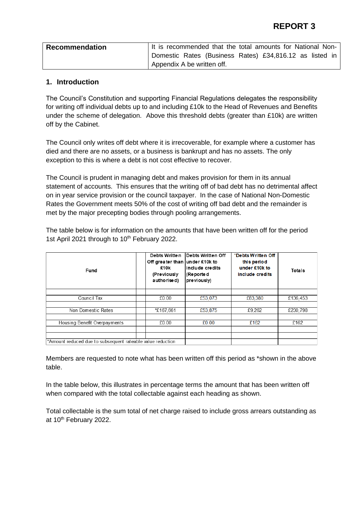| <b>Recommendation</b> | It is recommended that the total amounts for National Non- |
|-----------------------|------------------------------------------------------------|
|                       | Domestic Rates (Business Rates) £34,816.12 as listed in    |
|                       | Appendix A be written off.                                 |

#### **1. Introduction**

The Council's Constitution and supporting Financial Regulations delegates the responsibility for writing off individual debts up to and including £10k to the Head of Revenues and Benefits under the scheme of delegation. Above this threshold debts (greater than £10k) are written off by the Cabinet.

The Council only writes off debt where it is irrecoverable, for example where a customer has died and there are no assets, or a business is bankrupt and has no assets. The only exception to this is where a debt is not cost effective to recover.

The Council is prudent in managing debt and makes provision for them in its annual statement of accounts. This ensures that the writing off of bad debt has no detrimental affect on in year service provision or the council taxpayer. In the case of National Non-Domestic Rates the Government meets 50% of the cost of writing off bad debt and the remainder is met by the major precepting bodies through pooling arrangements.

The table below is for information on the amounts that have been written off for the period 1st April 2021 through to 10<sup>th</sup> February 2022.

| Fund                                                       | Debts Written<br>Off greater than under £10k to<br>£10k<br>(Previously<br>authorised) | Debts Written Off<br>linclude credits<br>(Reported<br>previously) | *Debts Written Off<br>this period<br>under £10k to<br>include credits | <b>Totals</b> |
|------------------------------------------------------------|---------------------------------------------------------------------------------------|-------------------------------------------------------------------|-----------------------------------------------------------------------|---------------|
|                                                            |                                                                                       |                                                                   |                                                                       |               |
| Council Tax                                                | £0.00                                                                                 | £53,073                                                           | £83,380                                                               | £136,453      |
|                                                            |                                                                                       |                                                                   |                                                                       |               |
| Non Domestic Rates                                         | *£167,661                                                                             | £53,875                                                           | £9.262                                                                | £230,798      |
|                                                            |                                                                                       |                                                                   |                                                                       |               |
| Housing Benefit Overpayments                               | £0.00                                                                                 | £0.00                                                             | £162                                                                  | £162          |
|                                                            |                                                                                       |                                                                   |                                                                       |               |
|                                                            |                                                                                       |                                                                   |                                                                       |               |
| *Amount reduced due to subsequent rateable value reduction |                                                                                       |                                                                   |                                                                       |               |

Members are requested to note what has been written off this period as \*shown in the above table.

In the table below, this illustrates in percentage terms the amount that has been written off when compared with the total collectable against each heading as shown.

Total collectable is the sum total of net charge raised to include gross arrears outstanding as at 10<sup>th</sup> February 2022.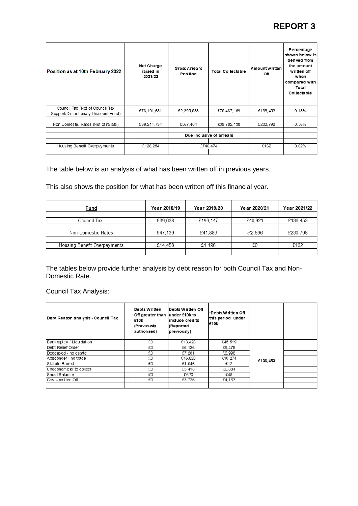# **REPORT 3**

| Position as at 10th February 2022                                       | Net Charge<br>raised in<br>2021/22 | Gross Arrears<br>Position | <b>Total Collectable</b> | Amount written<br>Off | Percentage<br>shown below is<br>derived from<br>the amount<br>written off<br>when<br>compared with<br>Total<br>Collectable |
|-------------------------------------------------------------------------|------------------------------------|---------------------------|--------------------------|-----------------------|----------------------------------------------------------------------------------------------------------------------------|
|                                                                         |                                    |                           |                          |                       |                                                                                                                            |
| Council Tax (Net of Council Tax<br>Support/Discretionary Discount Fund) | £73,191,631                        | £2,295,538                | £75,487,169              | £136,453              | 0.18%                                                                                                                      |
|                                                                         |                                    |                           |                          |                       |                                                                                                                            |
| Non Domestic Rates (Net of reliefs)                                     | £39,214,734                        | £567.404                  | £39,782,138              | £230.798              | 0.58%                                                                                                                      |
|                                                                         |                                    |                           |                          |                       |                                                                                                                            |
|                                                                         |                                    |                           | Due inclusive of arrears |                       |                                                                                                                            |
|                                                                         |                                    |                           |                          |                       |                                                                                                                            |
| Housing Benefit Overpayments                                            | £128.254                           |                           | £746.474                 | £162                  | 0.02%                                                                                                                      |
|                                                                         |                                    |                           |                          |                       |                                                                                                                            |

## The table below is an analysis of what has been written off in previous years.

This also shows the position for what has been written off this financial year.

| Fund                         | Year 2018/19 | Year 2019/20 | Year 2020/21 | Year 2021/22 |
|------------------------------|--------------|--------------|--------------|--------------|
|                              |              |              |              |              |
| Council Tax                  | £39,638      | £199,147     | £40.921      | £136.453     |
|                              |              |              |              |              |
| Non Domestic Rates           | £47,139      | £41,889      | $-£2.896$    | £230.798     |
|                              |              |              |              |              |
| Housing Benefit Overpayments | £14,458      | £1.196       | £0           | £162         |
|                              |              |              |              |              |

The tables below provide further analysis by debt reason for both Council Tax and Non-Domestic Rate.

Council Tax Analysis:

| Debt Reason analysis - Council Tax | <b>Debts Written</b><br>Off greater than under £10k to<br>£10k<br>(Previously<br>authorised) | Debts Written Off<br>include credits<br>(Reported<br>previously) | *Debts Written Off<br>this period under<br>£10k |          |  |
|------------------------------------|----------------------------------------------------------------------------------------------|------------------------------------------------------------------|-------------------------------------------------|----------|--|
|                                    |                                                                                              |                                                                  |                                                 |          |  |
| Bankruptcy / Liquidation           | £0                                                                                           | £13.428                                                          | £45.519                                         |          |  |
| Debt Relief Order                  | £0                                                                                           | £6,126                                                           | £9,478                                          |          |  |
| Deceased - no estate               | £0                                                                                           | £7.281                                                           | £6,998                                          |          |  |
| Absconder - no trace               | £0                                                                                           | £16,928                                                          | £10.274                                         | £136.453 |  |
| Statute Barred                     | £0                                                                                           | £1,546                                                           | £12                                             |          |  |
| Uneconomical to collect            | £0                                                                                           | £3,418                                                           | £6,884                                          |          |  |
| Small Balance                      | £0                                                                                           | £620                                                             | £48                                             |          |  |
| Costs written Off                  | £0                                                                                           | £3.726                                                           | £4.167                                          |          |  |
|                                    |                                                                                              |                                                                  |                                                 |          |  |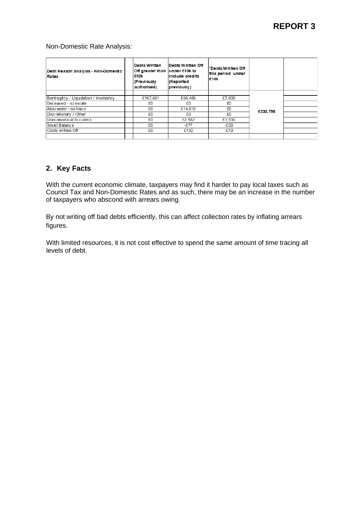#### Non-Domestic Rate Analysis:

| Debt Reason analysis - Non-Domestic<br>Rates | <b>Debts Written</b><br>Off greater than under £10k to<br>£10k<br>(Previously<br>authorised) | Debts Written Off<br>include credits<br>(Reported<br>previously) | *Debts Written Off<br>this period under<br>£10k |          |  |
|----------------------------------------------|----------------------------------------------------------------------------------------------|------------------------------------------------------------------|-------------------------------------------------|----------|--|
| Bankruptcy / Liquidation / Insolvency        | £167.661                                                                                     | £36.456                                                          | £7.809                                          |          |  |
| Deceased - no estate                         | £0                                                                                           | £0                                                               | £0                                              |          |  |
| Absconder - no trace                         | £0                                                                                           | £14.812                                                          | £0                                              |          |  |
| Discretionary / Other                        | £0                                                                                           | £0                                                               | £0                                              | £230.798 |  |
| Uneconomical to collect                      | £0                                                                                           | £2.552                                                           | £1.530                                          |          |  |
| Small Balance                                | £0                                                                                           | $-E77$                                                           | -£58                                            |          |  |
| Costs written Off                            | £0                                                                                           | £132                                                             | $-£19$                                          |          |  |
|                                              |                                                                                              |                                                                  |                                                 |          |  |

#### **2. Key Facts**

With the current economic climate, taxpayers may find it harder to pay local taxes such as Council Tax and Non-Domestic Rates and as such, there may be an increase in the number of taxpayers who abscond with arrears owing.

By not writing off bad debts efficiently, this can affect collection rates by inflating arrears figures.

With limited resources, it is not cost effective to spend the same amount of time tracing all levels of debt.